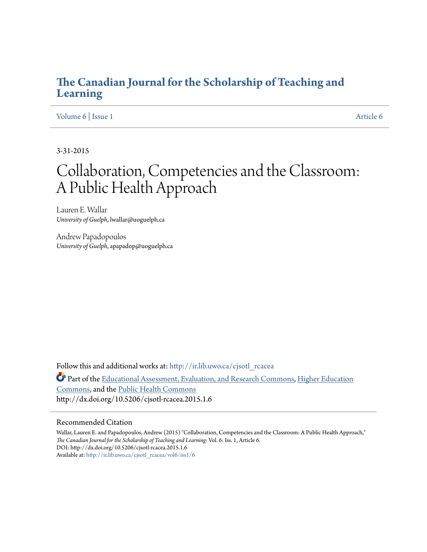### **[The Canadian Journal for the Scholarship of Teaching and](http://ir.lib.uwo.ca/cjsotl_rcacea?utm_source=ir.lib.uwo.ca%2Fcjsotl_rcacea%2Fvol6%2Fiss1%2F6&utm_medium=PDF&utm_campaign=PDFCoverPages) [Learning](http://ir.lib.uwo.ca/cjsotl_rcacea?utm_source=ir.lib.uwo.ca%2Fcjsotl_rcacea%2Fvol6%2Fiss1%2F6&utm_medium=PDF&utm_campaign=PDFCoverPages)**

[Volume 6](http://ir.lib.uwo.ca/cjsotl_rcacea/vol6?utm_source=ir.lib.uwo.ca%2Fcjsotl_rcacea%2Fvol6%2Fiss1%2F6&utm_medium=PDF&utm_campaign=PDFCoverPages) | [Issue 1](http://ir.lib.uwo.ca/cjsotl_rcacea/vol6/iss1?utm_source=ir.lib.uwo.ca%2Fcjsotl_rcacea%2Fvol6%2Fiss1%2F6&utm_medium=PDF&utm_campaign=PDFCoverPages) [Article 6](http://ir.lib.uwo.ca/cjsotl_rcacea/vol6/iss1/6?utm_source=ir.lib.uwo.ca%2Fcjsotl_rcacea%2Fvol6%2Fiss1%2F6&utm_medium=PDF&utm_campaign=PDFCoverPages)

3-31-2015

# Collaboration, Competencies and the Classroom: A Public Health Approach

Lauren E. Wallar *University of Guelph*, lwallar@uoguelph.ca

Andrew Papadopoulos *University of Guelph*, apapadop@uoguelph.ca

Follow this and additional works at: [http://ir.lib.uwo.ca/cjsotl\\_rcacea](http://ir.lib.uwo.ca/cjsotl_rcacea?utm_source=ir.lib.uwo.ca%2Fcjsotl_rcacea%2Fvol6%2Fiss1%2F6&utm_medium=PDF&utm_campaign=PDFCoverPages) Part of the [Educational Assessment, Evaluation, and Research Commons,](http://network.bepress.com/hgg/discipline/796?utm_source=ir.lib.uwo.ca%2Fcjsotl_rcacea%2Fvol6%2Fiss1%2F6&utm_medium=PDF&utm_campaign=PDFCoverPages) [Higher Education](http://network.bepress.com/hgg/discipline/1245?utm_source=ir.lib.uwo.ca%2Fcjsotl_rcacea%2Fvol6%2Fiss1%2F6&utm_medium=PDF&utm_campaign=PDFCoverPages) [Commons,](http://network.bepress.com/hgg/discipline/1245?utm_source=ir.lib.uwo.ca%2Fcjsotl_rcacea%2Fvol6%2Fiss1%2F6&utm_medium=PDF&utm_campaign=PDFCoverPages) and the [Public Health Commons](http://network.bepress.com/hgg/discipline/738?utm_source=ir.lib.uwo.ca%2Fcjsotl_rcacea%2Fvol6%2Fiss1%2F6&utm_medium=PDF&utm_campaign=PDFCoverPages) http://dx.doi.org/10.5206/cjsotl-rcacea.2015.1.6

#### Recommended Citation

Wallar, Lauren E. and Papadopoulos, Andrew (2015) "Collaboration, Competencies and the Classroom: A Public Health Approach," *The Canadian Journal for the Scholarship of Teaching and Learning*: Vol. 6: Iss. 1, Article 6. DOI: http://dx.doi.org/10.5206/cjsotl-rcacea.2015.1.6 Available at: [http://ir.lib.uwo.ca/cjsotl\\_rcacea/vol6/iss1/6](http://ir.lib.uwo.ca/cjsotl_rcacea/vol6/iss1/6?utm_source=ir.lib.uwo.ca%2Fcjsotl_rcacea%2Fvol6%2Fiss1%2F6&utm_medium=PDF&utm_campaign=PDFCoverPages)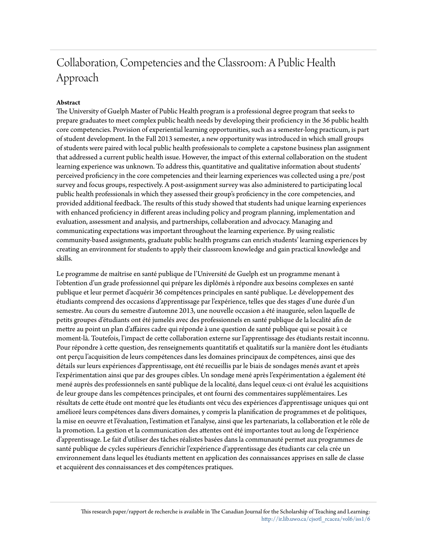## Collaboration, Competencies and the Classroom: A Public Health Approach

#### **Abstract**

The University of Guelph Master of Public Health program is a professional degree program that seeks to prepare graduates to meet complex public health needs by developing their proficiency in the 36 public health core competencies. Provision of experiential learning opportunities, such as a semester-long practicum, is part of student development. In the Fall 2013 semester, a new opportunity was introduced in which small groups of students were paired with local public health professionals to complete a capstone business plan assignment that addressed a current public health issue. However, the impact of this external collaboration on the student learning experience was unknown. To address this, quantitative and qualitative information about students' perceived proficiency in the core competencies and their learning experiences was collected using a pre/post survey and focus groups, respectively. A post-assignment survey was also administered to participating local public health professionals in which they assessed their group's proficiency in the core competencies, and provided additional feedback. The results of this study showed that students had unique learning experiences with enhanced proficiency in different areas including policy and program planning, implementation and evaluation, assessment and analysis, and partnerships, collaboration and advocacy. Managing and communicating expectations was important throughout the learning experience. By using realistic community-based assignments, graduate public health programs can enrich students' learning experiences by creating an environment for students to apply their classroom knowledge and gain practical knowledge and skills.

Le programme de maîtrise en santé publique de l'Université de Guelph est un programme menant à l'obtention d'un grade professionnel qui prépare les diplômés à répondre aux besoins complexes en santé publique et leur permet d'acquérir 36 compétences principales en santé publique. Le développement des étudiants comprend des occasions d'apprentissage par l'expérience, telles que des stages d'une durée d'un semestre. Au cours du semestre d'automne 2013, une nouvelle occasion a été inaugurée, selon laquelle de petits groupes d'étudiants ont été jumelés avec des professionnels en santé publique de la localité afin de mettre au point un plan d'affaires cadre qui réponde à une question de santé publique qui se posait à ce moment-là. Toutefois, l'impact de cette collaboration externe sur l'apprentissage des étudiants restait inconnu. Pour répondre à cette question, des renseignements quantitatifs et qualitatifs sur la manière dont les étudiants ont perçu l'acquisition de leurs compétences dans les domaines principaux de compétences, ainsi que des détails sur leurs expériences d'apprentissage, ont été recueillis par le biais de sondages menés avant et après l'expérimentation ainsi que par des groupes cibles. Un sondage mené après l'expérimentation a également été mené auprès des professionnels en santé publique de la localité, dans lequel ceux-ci ont évalué les acquisitions de leur groupe dans les compétences principales, et ont fourni des commentaires supplémentaires. Les résultats de cette étude ont montré que les étudiants ont vécu des expériences d'apprentissage uniques qui ont amélioré leurs compétences dans divers domaines, y compris la planification de programmes et de politiques, la mise en oeuvre et l'évaluation, l'estimation et l'analyse, ainsi que les partenariats, la collaboration et le rôle de la promotion. La gestion et la communication des attentes ont été importantes tout au long de l'expérience d'apprentissage. Le fait d'utiliser des tâches réalistes basées dans la communauté permet aux programmes de santé publique de cycles supérieurs d'enrichir l'expérience d'apprentissage des étudiants car cela crée un environnement dans lequel les étudiants mettent en application des connaissances apprises en salle de classe et acquièrent des connaissances et des compétences pratiques.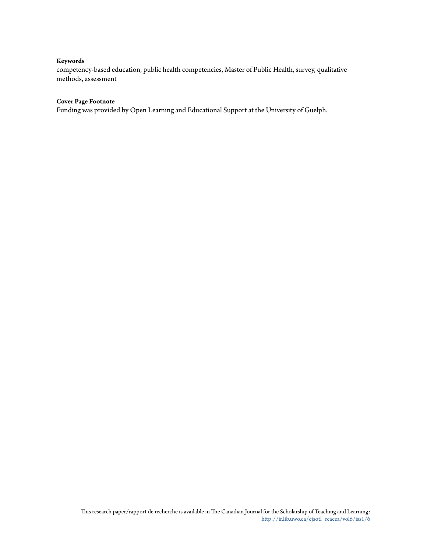#### **Keywords**

competency-based education, public health competencies, Master of Public Health, survey, qualitative methods, assessment

#### **Cover Page Footnote**

Funding was provided by Open Learning and Educational Support at the University of Guelph.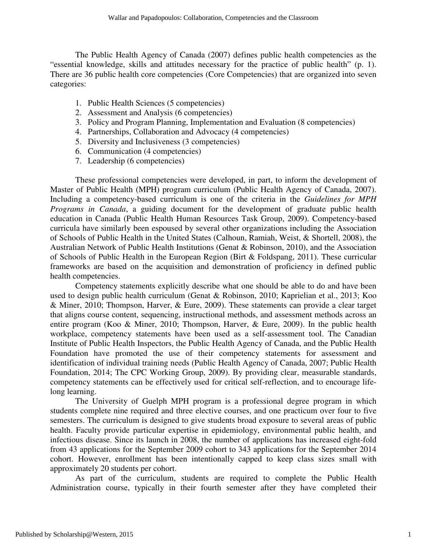The Public Health Agency of Canada (2007) defines public health competencies as the "essential knowledge, skills and attitudes necessary for the practice of public health" (p. 1). There are 36 public health core competencies (Core Competencies) that are organized into seven categories:

- 1. Public Health Sciences (5 competencies)
- 2. Assessment and Analysis (6 competencies)
- 3. Policy and Program Planning, Implementation and Evaluation (8 competencies)
- 4. Partnerships, Collaboration and Advocacy (4 competencies)
- 5. Diversity and Inclusiveness (3 competencies)
- 6. Communication (4 competencies)
- 7. Leadership (6 competencies)

These professional competencies were developed, in part, to inform the development of Master of Public Health (MPH) program curriculum (Public Health Agency of Canada, 2007). Including a competency-based curriculum is one of the criteria in the *Guidelines for MPH Programs in Canada*, a guiding document for the development of graduate public health education in Canada (Public Health Human Resources Task Group, 2009). Competency-based curricula have similarly been espoused by several other organizations including the Association of Schools of Public Health in the United States (Calhoun, Ramiah, Weist, & Shortell, 2008), the Australian Network of Public Health Institutions (Genat & Robinson, 2010), and the Association of Schools of Public Health in the European Region (Birt & Foldspang, 2011). These curricular frameworks are based on the acquisition and demonstration of proficiency in defined public health competencies.

Competency statements explicitly describe what one should be able to do and have been used to design public health curriculum (Genat & Robinson, 2010; Kaprielian et al., 2013; Koo & Miner, 2010; Thompson, Harver, & Eure, 2009). These statements can provide a clear target that aligns course content, sequencing, instructional methods, and assessment methods across an entire program (Koo & Miner, 2010; Thompson, Harver, & Eure, 2009). In the public health workplace, competency statements have been used as a self-assessment tool. The Canadian Institute of Public Health Inspectors, the Public Health Agency of Canada, and the Public Health Foundation have promoted the use of their competency statements for assessment and identification of individual training needs (Public Health Agency of Canada, 2007; Public Health Foundation, 2014; The CPC Working Group, 2009). By providing clear, measurable standards, competency statements can be effectively used for critical self-reflection, and to encourage lifelong learning.

 The University of Guelph MPH program is a professional degree program in which students complete nine required and three elective courses, and one practicum over four to five semesters. The curriculum is designed to give students broad exposure to several areas of public health. Faculty provide particular expertise in epidemiology, environmental public health, and infectious disease. Since its launch in 2008, the number of applications has increased eight-fold from 43 applications for the September 2009 cohort to 343 applications for the September 2014 cohort. However, enrollment has been intentionally capped to keep class sizes small with approximately 20 students per cohort.

As part of the curriculum, students are required to complete the Public Health Administration course, typically in their fourth semester after they have completed their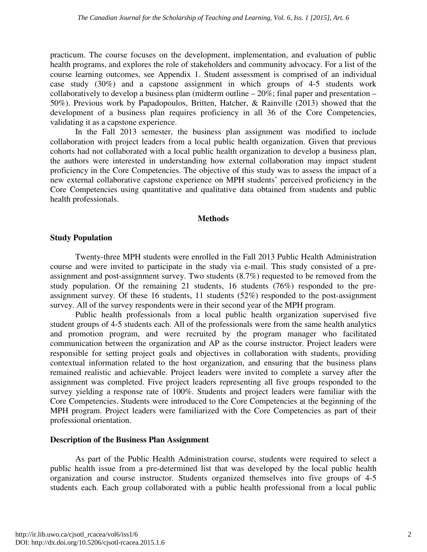practicum. The course focuses on the development, implementation, and evaluation of public health programs, and explores the role of stakeholders and community advocacy. For a list of the course learning outcomes, see Appendix 1. Student assessment is comprised of an individual case study (30%) and a capstone assignment in which groups of 4-5 students work collaboratively to develop a business plan (midterm outline  $-20\%$ ; final paper and presentation  $-$ 50%). Previous work by Papadopoulos, Britten, Hatcher, & Rainville (2013) showed that the development of a business plan requires proficiency in all 36 of the Core Competencies, validating it as a capstone experience.

In the Fall 2013 semester, the business plan assignment was modified to include collaboration with project leaders from a local public health organization. Given that previous cohorts had not collaborated with a local public health organization to develop a business plan, the authors were interested in understanding how external collaboration may impact student proficiency in the Core Competencies. The objective of this study was to assess the impact of a new external collaborative capstone experience on MPH students' perceived proficiency in the Core Competencies using quantitative and qualitative data obtained from students and public health professionals.

#### **Methods**

#### **Study Population**

Twenty-three MPH students were enrolled in the Fall 2013 Public Health Administration course and were invited to participate in the study via e-mail. This study consisted of a preassignment and post-assignment survey. Two students (8.7%) requested to be removed from the study population. Of the remaining 21 students, 16 students (76%) responded to the preassignment survey. Of these 16 students, 11 students (52%) responded to the post-assignment survey. All of the survey respondents were in their second year of the MPH program.

Public health professionals from a local public health organization supervised five student groups of 4-5 students each. All of the professionals were from the same health analytics and promotion program, and were recruited by the program manager who facilitated communication between the organization and AP as the course instructor. Project leaders were responsible for setting project goals and objectives in collaboration with students, providing contextual information related to the host organization, and ensuring that the business plans remained realistic and achievable. Project leaders were invited to complete a survey after the assignment was completed. Five project leaders representing all five groups responded to the survey yielding a response rate of 100%. Students and project leaders were familiar with the Core Competencies. Students were introduced to the Core Competencies at the beginning of the MPH program. Project leaders were familiarized with the Core Competencies as part of their professional orientation.

#### **Description of the Business Plan Assignment**

 As part of the Public Health Administration course, students were required to select a public health issue from a pre-determined list that was developed by the local public health organization and course instructor. Students organized themselves into five groups of 4-5 students each. Each group collaborated with a public health professional from a local public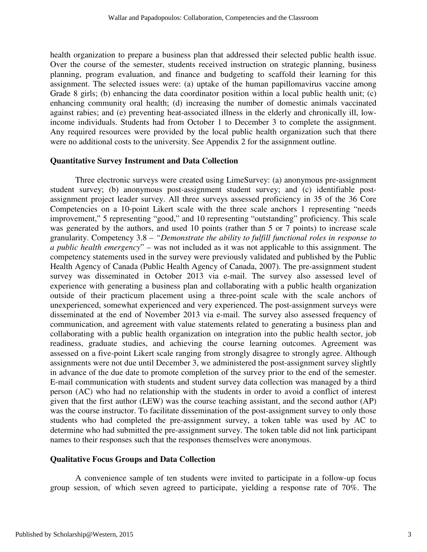health organization to prepare a business plan that addressed their selected public health issue. Over the course of the semester, students received instruction on strategic planning, business planning, program evaluation, and finance and budgeting to scaffold their learning for this assignment. The selected issues were: (a) uptake of the human papillomavirus vaccine among Grade 8 girls; (b) enhancing the data coordinator position within a local public health unit; (c) enhancing community oral health; (d) increasing the number of domestic animals vaccinated against rabies; and (e) preventing heat-associated illness in the elderly and chronically ill, lowincome individuals. Students had from October 1 to December 3 to complete the assignment. Any required resources were provided by the local public health organization such that there were no additional costs to the university. See Appendix 2 for the assignment outline.

#### **Quantitative Survey Instrument and Data Collection**

 Three electronic surveys were created using LimeSurvey: (a) anonymous pre-assignment student survey; (b) anonymous post-assignment student survey; and (c) identifiable postassignment project leader survey. All three surveys assessed proficiency in 35 of the 36 Core Competencies on a 10-point Likert scale with the three scale anchors 1 representing "needs improvement," 5 representing "good," and 10 representing "outstanding" proficiency. This scale was generated by the authors, and used 10 points (rather than 5 or 7 points) to increase scale granularity. Competency 3.8 – *"Demonstrate the ability to fulfill functional roles in response to a public health emergency*" – was not included as it was not applicable to this assignment. The competency statements used in the survey were previously validated and published by the Public Health Agency of Canada (Public Health Agency of Canada, 2007). The pre-assignment student survey was disseminated in October 2013 via e-mail. The survey also assessed level of experience with generating a business plan and collaborating with a public health organization outside of their practicum placement using a three-point scale with the scale anchors of unexperienced, somewhat experienced and very experienced. The post-assignment surveys were disseminated at the end of November 2013 via e-mail. The survey also assessed frequency of communication, and agreement with value statements related to generating a business plan and collaborating with a public health organization on integration into the public health sector, job readiness, graduate studies, and achieving the course learning outcomes. Agreement was assessed on a five-point Likert scale ranging from strongly disagree to strongly agree. Although assignments were not due until December 3, we administered the post-assignment survey slightly in advance of the due date to promote completion of the survey prior to the end of the semester. E-mail communication with students and student survey data collection was managed by a third person (AC) who had no relationship with the students in order to avoid a conflict of interest given that the first author (LEW) was the course teaching assistant, and the second author (AP) was the course instructor. To facilitate dissemination of the post-assignment survey to only those students who had completed the pre-assignment survey, a token table was used by AC to determine who had submitted the pre-assignment survey. The token table did not link participant names to their responses such that the responses themselves were anonymous.

#### **Qualitative Focus Groups and Data Collection**

 A convenience sample of ten students were invited to participate in a follow-up focus group session, of which seven agreed to participate, yielding a response rate of 70%. The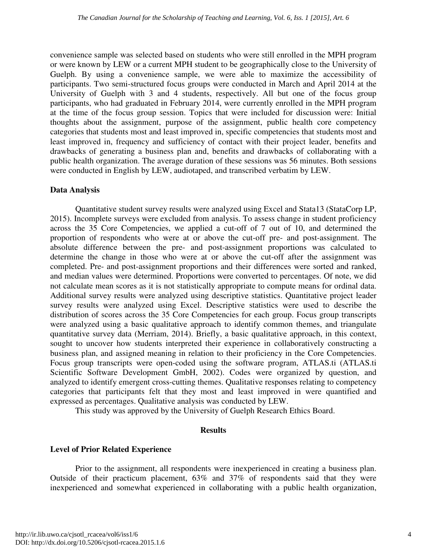convenience sample was selected based on students who were still enrolled in the MPH program or were known by LEW or a current MPH student to be geographically close to the University of Guelph. By using a convenience sample, we were able to maximize the accessibility of participants. Two semi-structured focus groups were conducted in March and April 2014 at the University of Guelph with 3 and 4 students, respectively. All but one of the focus group participants, who had graduated in February 2014, were currently enrolled in the MPH program at the time of the focus group session. Topics that were included for discussion were: Initial thoughts about the assignment, purpose of the assignment, public health core competency categories that students most and least improved in, specific competencies that students most and least improved in, frequency and sufficiency of contact with their project leader, benefits and drawbacks of generating a business plan and, benefits and drawbacks of collaborating with a public health organization. The average duration of these sessions was 56 minutes. Both sessions were conducted in English by LEW, audiotaped, and transcribed verbatim by LEW.

#### **Data Analysis**

 Quantitative student survey results were analyzed using Excel and Stata13 (StataCorp LP, 2015). Incomplete surveys were excluded from analysis. To assess change in student proficiency across the 35 Core Competencies, we applied a cut-off of 7 out of 10, and determined the proportion of respondents who were at or above the cut-off pre- and post-assignment. The absolute difference between the pre- and post-assignment proportions was calculated to determine the change in those who were at or above the cut-off after the assignment was completed. Pre- and post-assignment proportions and their differences were sorted and ranked, and median values were determined. Proportions were converted to percentages. Of note, we did not calculate mean scores as it is not statistically appropriate to compute means for ordinal data. Additional survey results were analyzed using descriptive statistics. Quantitative project leader survey results were analyzed using Excel. Descriptive statistics were used to describe the distribution of scores across the 35 Core Competencies for each group. Focus group transcripts were analyzed using a basic qualitative approach to identify common themes, and triangulate quantitative survey data (Merriam, 2014). Briefly, a basic qualitative approach, in this context, sought to uncover how students interpreted their experience in collaboratively constructing a business plan, and assigned meaning in relation to their proficiency in the Core Competencies. Focus group transcripts were open-coded using the software program, ATLAS.ti (ATLAS.ti Scientific Software Development GmbH, 2002). Codes were organized by question, and analyzed to identify emergent cross-cutting themes. Qualitative responses relating to competency categories that participants felt that they most and least improved in were quantified and expressed as percentages. Qualitative analysis was conducted by LEW.

This study was approved by the University of Guelph Research Ethics Board.

#### **Results**

#### **Level of Prior Related Experience**

 Prior to the assignment, all respondents were inexperienced in creating a business plan. Outside of their practicum placement, 63% and 37% of respondents said that they were inexperienced and somewhat experienced in collaborating with a public health organization,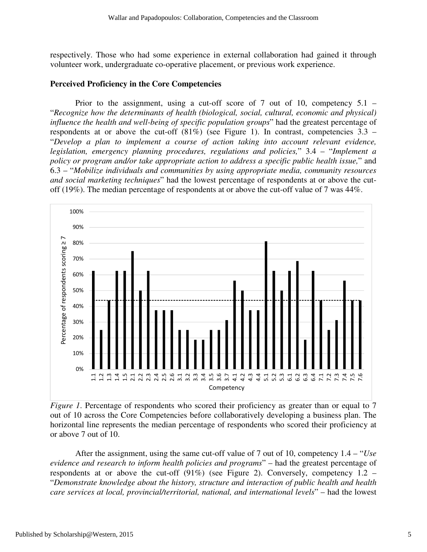respectively. Those who had some experience in external collaboration had gained it through volunteer work, undergraduate co-operative placement, or previous work experience.

#### **Perceived Proficiency in the Core Competencies**

Prior to the assignment, using a cut-off score of  $7$  out of 10, competency  $5.1$  – "*Recognize how the determinants of health (biological, social, cultural, economic and physical) influence the health and well-being of specific population groups*" had the greatest percentage of respondents at or above the cut-off  $(81\%)$  (see Figure 1). In contrast, competencies 3.3 – "*Develop a plan to implement a course of action taking into account relevant evidence, legislation, emergency planning procedures, regulations and policies,*" 3.4 – "*Implement a policy or program and/or take appropriate action to address a specific public health issue,*" and 6.3 – "*Mobilize individuals and communities by using appropriate media, community resources and social marketing techniques*" had the lowest percentage of respondents at or above the cutoff (19%). The median percentage of respondents at or above the cut-off value of 7 was 44%.



*Figure 1*. Percentage of respondents who scored their proficiency as greater than or equal to 7 out of 10 across the Core Competencies before collaboratively developing a business plan. The horizontal line represents the median percentage of respondents who scored their proficiency at or above 7 out of 10.

 After the assignment, using the same cut-off value of 7 out of 10, competency 1.4 – "*Use evidence and research to inform health policies and programs*" – had the greatest percentage of respondents at or above the cut-off  $(91\%)$  (see Figure 2). Conversely, competency 1.2 – "*Demonstrate knowledge about the history, structure and interaction of public health and health care services at local, provincial/territorial, national, and international levels*" – had the lowest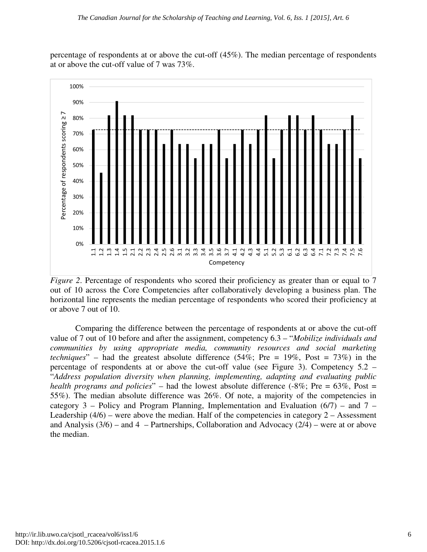#### *The Canadian Journal for the Scholarship of Teaching and Learning, Vol. 6, Iss. 1 [2015], Art. 6*

percentage of respondents at or above the cut-off (45%). The median percentage of respondents at or above the cut-off value of 7 was 73%.



*Figure 2.* Percentage of respondents who scored their proficiency as greater than or equal to 7 out of 10 across the Core Competencies after collaboratively developing a business plan. The horizontal line represents the median percentage of respondents who scored their proficiency at or above 7 out of 10.

 Comparing the difference between the percentage of respondents at or above the cut-off value of 7 out of 10 before and after the assignment, competency 6.3 – "*Mobilize individuals and communities by using appropriate media, community resources and social marketing techniques*" – had the greatest absolute difference (54%; Pre = 19%, Post = 73%) in the percentage of respondents at or above the cut-off value (see Figure 3). Competency 5.2 – "*Address population diversity when planning, implementing, adapting and evaluating public health programs and policies*" – had the lowest absolute difference (-8%; Pre = 63%, Post = 55%). The median absolute difference was 26%. Of note, a majority of the competencies in category 3 – Policy and Program Planning, Implementation and Evaluation  $(6/7)$  – and 7 – Leadership  $(4/6)$  – were above the median. Half of the competencies in category 2 – Assessment and Analysis  $(3/6)$  – and 4 – Partnerships, Collaboration and Advocacy  $(2/4)$  – were at or above the median.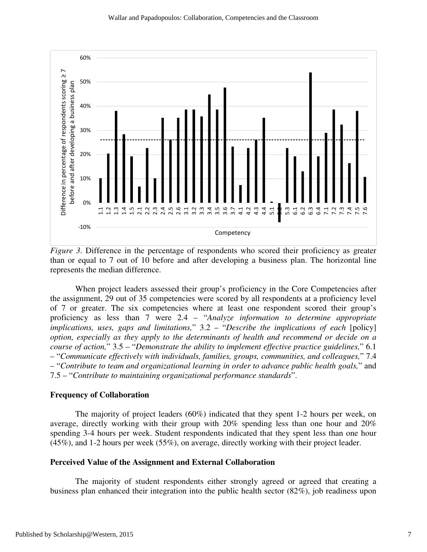

*Figure 3*. Difference in the percentage of respondents who scored their proficiency as greater than or equal to 7 out of 10 before and after developing a business plan. The horizontal line represents the median difference.

 When project leaders assessed their group's proficiency in the Core Competencies after the assignment, 29 out of 35 competencies were scored by all respondents at a proficiency level of 7 or greater. The six competencies where at least one respondent scored their group's proficiency as less than 7 were 2.4 – "*Analyze information to determine appropriate implications, uses, gaps and limitations,*" 3.2 – "*Describe the implications of each* [policy] *option, especially as they apply to the determinants of health and recommend or decide on a course of action,*" 3.5 – "*Demonstrate the ability to implement effective practice guidelines,*" 6.1 – "*Communicate effectively with individuals, families, groups, communities, and colleagues,*" 7.4 – "*Contribute to team and organizational learning in order to advance public health goals,*" and 7.5 – "*Contribute to maintaining organizational performance standards*".

#### **Frequency of Collaboration**

 The majority of project leaders (60%) indicated that they spent 1-2 hours per week, on average, directly working with their group with 20% spending less than one hour and 20% spending 3-4 hours per week. Student respondents indicated that they spent less than one hour (45%), and 1-2 hours per week (55%), on average, directly working with their project leader.

#### **Perceived Value of the Assignment and External Collaboration**

 The majority of student respondents either strongly agreed or agreed that creating a business plan enhanced their integration into the public health sector (82%), job readiness upon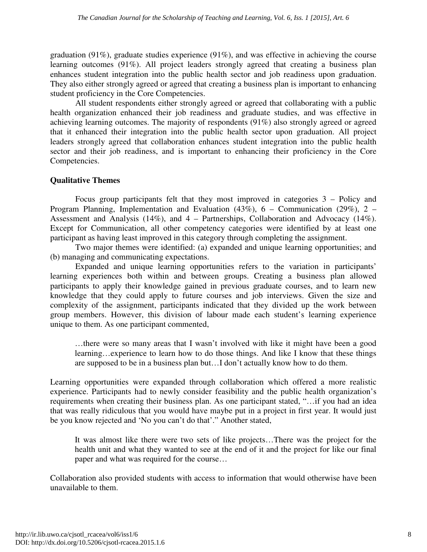graduation (91%), graduate studies experience (91%), and was effective in achieving the course learning outcomes (91%). All project leaders strongly agreed that creating a business plan enhances student integration into the public health sector and job readiness upon graduation. They also either strongly agreed or agreed that creating a business plan is important to enhancing student proficiency in the Core Competencies.

 All student respondents either strongly agreed or agreed that collaborating with a public health organization enhanced their job readiness and graduate studies, and was effective in achieving learning outcomes. The majority of respondents (91%) also strongly agreed or agreed that it enhanced their integration into the public health sector upon graduation. All project leaders strongly agreed that collaboration enhances student integration into the public health sector and their job readiness, and is important to enhancing their proficiency in the Core Competencies.

#### **Qualitative Themes**

 Focus group participants felt that they most improved in categories 3 – Policy and Program Planning, Implementation and Evaluation (43%), 6 – Communication (29%), 2 – Assessment and Analysis (14%), and 4 – Partnerships, Collaboration and Advocacy (14%). Except for Communication, all other competency categories were identified by at least one participant as having least improved in this category through completing the assignment.

 Two major themes were identified: (a) expanded and unique learning opportunities; and (b) managing and communicating expectations.

 Expanded and unique learning opportunities refers to the variation in participants' learning experiences both within and between groups. Creating a business plan allowed participants to apply their knowledge gained in previous graduate courses, and to learn new knowledge that they could apply to future courses and job interviews. Given the size and complexity of the assignment, participants indicated that they divided up the work between group members. However, this division of labour made each student's learning experience unique to them. As one participant commented,

…there were so many areas that I wasn't involved with like it might have been a good learning…experience to learn how to do those things. And like I know that these things are supposed to be in a business plan but…I don't actually know how to do them.

Learning opportunities were expanded through collaboration which offered a more realistic experience. Participants had to newly consider feasibility and the public health organization's requirements when creating their business plan. As one participant stated, "…if you had an idea that was really ridiculous that you would have maybe put in a project in first year. It would just be you know rejected and 'No you can't do that'." Another stated,

It was almost like there were two sets of like projects…There was the project for the health unit and what they wanted to see at the end of it and the project for like our final paper and what was required for the course…

Collaboration also provided students with access to information that would otherwise have been unavailable to them.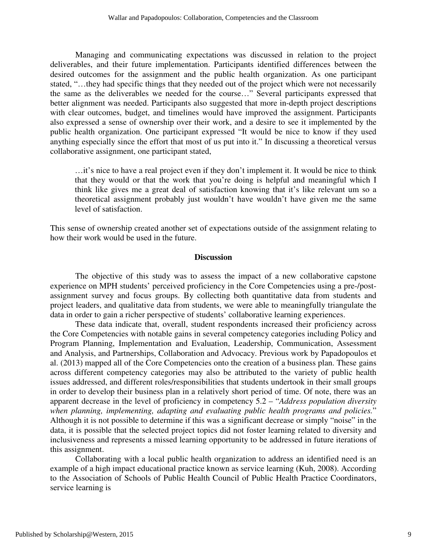Managing and communicating expectations was discussed in relation to the project deliverables, and their future implementation. Participants identified differences between the desired outcomes for the assignment and the public health organization. As one participant stated, "…they had specific things that they needed out of the project which were not necessarily the same as the deliverables we needed for the course…" Several participants expressed that better alignment was needed. Participants also suggested that more in-depth project descriptions with clear outcomes, budget, and timelines would have improved the assignment. Participants also expressed a sense of ownership over their work, and a desire to see it implemented by the public health organization. One participant expressed "It would be nice to know if they used anything especially since the effort that most of us put into it." In discussing a theoretical versus collaborative assignment, one participant stated,

…it's nice to have a real project even if they don't implement it. It would be nice to think that they would or that the work that you're doing is helpful and meaningful which I think like gives me a great deal of satisfaction knowing that it's like relevant um so a theoretical assignment probably just wouldn't have wouldn't have given me the same level of satisfaction.

This sense of ownership created another set of expectations outside of the assignment relating to how their work would be used in the future.

#### **Discussion**

 The objective of this study was to assess the impact of a new collaborative capstone experience on MPH students' perceived proficiency in the Core Competencies using a pre-/postassignment survey and focus groups. By collecting both quantitative data from students and project leaders, and qualitative data from students, we were able to meaningfully triangulate the data in order to gain a richer perspective of students' collaborative learning experiences.

 These data indicate that, overall, student respondents increased their proficiency across the Core Competencies with notable gains in several competency categories including Policy and Program Planning, Implementation and Evaluation, Leadership, Communication, Assessment and Analysis, and Partnerships, Collaboration and Advocacy. Previous work by Papadopoulos et al. (2013) mapped all of the Core Competencies onto the creation of a business plan. These gains across different competency categories may also be attributed to the variety of public health issues addressed, and different roles/responsibilities that students undertook in their small groups in order to develop their business plan in a relatively short period of time. Of note, there was an apparent decrease in the level of proficiency in competency 5.2 – "*Address population diversity when planning, implementing, adapting and evaluating public health programs and policies.*" Although it is not possible to determine if this was a significant decrease or simply "noise" in the data, it is possible that the selected project topics did not foster learning related to diversity and inclusiveness and represents a missed learning opportunity to be addressed in future iterations of this assignment.

 Collaborating with a local public health organization to address an identified need is an example of a high impact educational practice known as service learning (Kuh, 2008). According to the Association of Schools of Public Health Council of Public Health Practice Coordinators, service learning is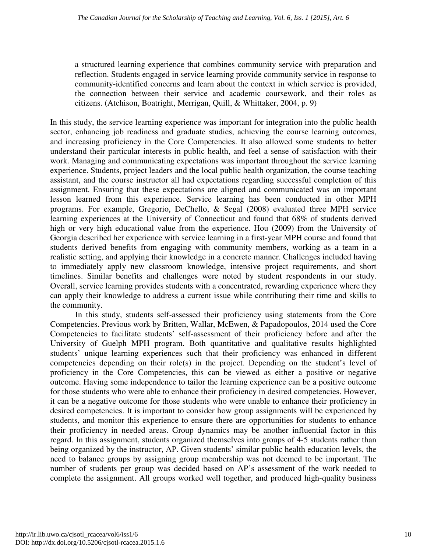a structured learning experience that combines community service with preparation and reflection. Students engaged in service learning provide community service in response to community-identified concerns and learn about the context in which service is provided, the connection between their service and academic coursework, and their roles as citizens. (Atchison, Boatright, Merrigan, Quill, & Whittaker, 2004, p. 9)

In this study, the service learning experience was important for integration into the public health sector, enhancing job readiness and graduate studies, achieving the course learning outcomes, and increasing proficiency in the Core Competencies. It also allowed some students to better understand their particular interests in public health, and feel a sense of satisfaction with their work. Managing and communicating expectations was important throughout the service learning experience. Students, project leaders and the local public health organization, the course teaching assistant, and the course instructor all had expectations regarding successful completion of this assignment. Ensuring that these expectations are aligned and communicated was an important lesson learned from this experience. Service learning has been conducted in other MPH programs. For example, Gregorio, DeChello, & Segal (2008) evaluated three MPH service learning experiences at the University of Connecticut and found that 68% of students derived high or very high educational value from the experience. Hou (2009) from the University of Georgia described her experience with service learning in a first-year MPH course and found that students derived benefits from engaging with community members, working as a team in a realistic setting, and applying their knowledge in a concrete manner. Challenges included having to immediately apply new classroom knowledge, intensive project requirements, and short timelines. Similar benefits and challenges were noted by student respondents in our study. Overall, service learning provides students with a concentrated, rewarding experience where they can apply their knowledge to address a current issue while contributing their time and skills to the community.

 In this study, students self-assessed their proficiency using statements from the Core Competencies. Previous work by Britten, Wallar, McEwen, & Papadopoulos, 2014 used the Core Competencies to facilitate students' self-assessment of their proficiency before and after the University of Guelph MPH program. Both quantitative and qualitative results highlighted students' unique learning experiences such that their proficiency was enhanced in different competencies depending on their role(s) in the project. Depending on the student's level of proficiency in the Core Competencies, this can be viewed as either a positive or negative outcome. Having some independence to tailor the learning experience can be a positive outcome for those students who were able to enhance their proficiency in desired competencies. However, it can be a negative outcome for those students who were unable to enhance their proficiency in desired competencies. It is important to consider how group assignments will be experienced by students, and monitor this experience to ensure there are opportunities for students to enhance their proficiency in needed areas. Group dynamics may be another influential factor in this regard. In this assignment, students organized themselves into groups of 4-5 students rather than being organized by the instructor, AP. Given students' similar public health education levels, the need to balance groups by assigning group membership was not deemed to be important. The number of students per group was decided based on AP's assessment of the work needed to complete the assignment. All groups worked well together, and produced high-quality business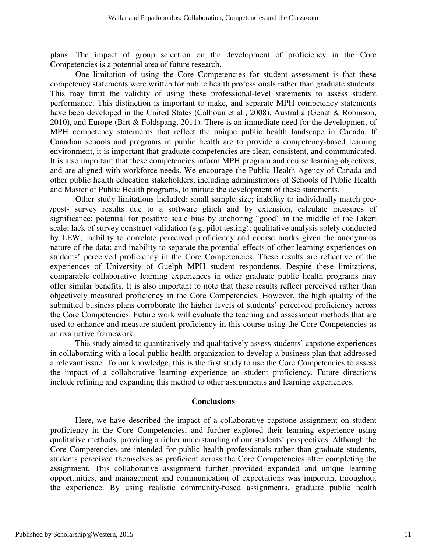plans. The impact of group selection on the development of proficiency in the Core Competencies is a potential area of future research.

 One limitation of using the Core Competencies for student assessment is that these competency statements were written for public health professionals rather than graduate students. This may limit the validity of using these professional-level statements to assess student performance. This distinction is important to make, and separate MPH competency statements have been developed in the United States (Calhoun et al., 2008), Australia (Genat & Robinson, 2010), and Europe (Birt & Foldspang, 2011). There is an immediate need for the development of MPH competency statements that reflect the unique public health landscape in Canada. If Canadian schools and programs in public health are to provide a competency-based learning environment, it is important that graduate competencies are clear, consistent, and communicated. It is also important that these competencies inform MPH program and course learning objectives, and are aligned with workforce needs. We encourage the Public Health Agency of Canada and other public health education stakeholders, including administrators of Schools of Public Health and Master of Public Health programs, to initiate the development of these statements.

 Other study limitations included: small sample size; inability to individually match pre- /post- survey results due to a software glitch and by extension, calculate measures of significance; potential for positive scale bias by anchoring "good" in the middle of the Likert scale; lack of survey construct validation (e.g. pilot testing); qualitative analysis solely conducted by LEW; inability to correlate perceived proficiency and course marks given the anonymous nature of the data; and inability to separate the potential effects of other learning experiences on students' perceived proficiency in the Core Competencies. These results are reflective of the experiences of University of Guelph MPH student respondents. Despite these limitations, comparable collaborative learning experiences in other graduate public health programs may offer similar benefits. It is also important to note that these results reflect perceived rather than objectively measured proficiency in the Core Competencies. However, the high quality of the submitted business plans corroborate the higher levels of students' perceived proficiency across the Core Competencies. Future work will evaluate the teaching and assessment methods that are used to enhance and measure student proficiency in this course using the Core Competencies as an evaluative framework.

This study aimed to quantitatively and qualitatively assess students' capstone experiences in collaborating with a local public health organization to develop a business plan that addressed a relevant issue. To our knowledge, this is the first study to use the Core Competencies to assess the impact of a collaborative learning experience on student proficiency. Future directions include refining and expanding this method to other assignments and learning experiences.

#### **Conclusions**

 Here, we have described the impact of a collaborative capstone assignment on student proficiency in the Core Competencies, and further explored their learning experience using qualitative methods, providing a richer understanding of our students' perspectives. Although the Core Competencies are intended for public health professionals rather than graduate students, students perceived themselves as proficient across the Core Competencies after completing the assignment. This collaborative assignment further provided expanded and unique learning opportunities, and management and communication of expectations was important throughout the experience. By using realistic community-based assignments, graduate public health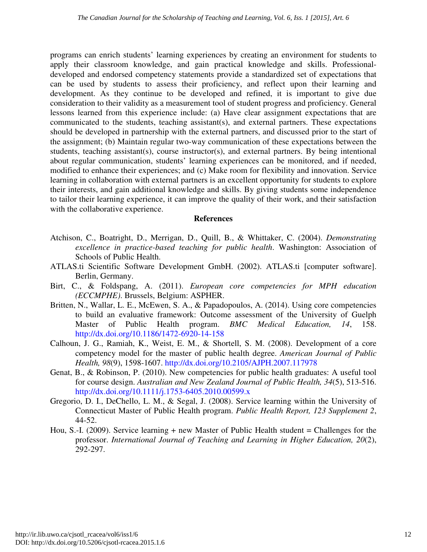programs can enrich students' learning experiences by creating an environment for students to apply their classroom knowledge, and gain practical knowledge and skills. Professionaldeveloped and endorsed competency statements provide a standardized set of expectations that can be used by students to assess their proficiency, and reflect upon their learning and development. As they continue to be developed and refined, it is important to give due consideration to their validity as a measurement tool of student progress and proficiency. General lessons learned from this experience include: (a) Have clear assignment expectations that are communicated to the students, teaching assistant(s), and external partners. These expectations should be developed in partnership with the external partners, and discussed prior to the start of the assignment; (b) Maintain regular two-way communication of these expectations between the students, teaching assistant(s), course instructor(s), and external partners. By being intentional about regular communication, students' learning experiences can be monitored, and if needed, modified to enhance their experiences; and (c) Make room for flexibility and innovation. Service learning in collaboration with external partners is an excellent opportunity for students to explore their interests, and gain additional knowledge and skills. By giving students some independence to tailor their learning experience, it can improve the quality of their work, and their satisfaction with the collaborative experience.

#### **References**

- Atchison, C., Boatright, D., Merrigan, D., Quill, B., & Whittaker, C. (2004). *Demonstrating excellence in practice-based teaching for public health*. Washington: Association of Schools of Public Health.
- ATLAS.ti Scientific Software Development GmbH. (2002). ATLAS.ti [computer software]. Berlin, Germany.
- Birt, C., & Foldspang, A. (2011). *European core competencies for MPH education (ECCMPHE)*. Brussels, Belgium: ASPHER.
- Britten, N., Wallar, L. E., McEwen, S. A., & Papadopoulos, A. (2014). Using core competencies to build an evaluative framework: Outcome assessment of the University of Guelph Master of Public Health program. *BMC Medical Education, 14*, 158. http://dx.doi.org/10.1186/1472-6920-14-158
- Calhoun, J. G., Ramiah, K., Weist, E. M., & Shortell, S. M. (2008). Development of a core competency model for the master of public health degree. *American Journal of Public Health, 98*(9), 1598-1607. http://dx.doi.org/10.2105/AJPH.2007.117978
- Genat, B., & Robinson, P. (2010). New competencies for public health graduates: A useful tool for course design. *Australian and New Zealand Journal of Public Health, 34*(5), 513-516. http://dx.doi.org/10.1111/j.1753-6405.2010.00599.x
- Gregorio, D. I., DeChello, L. M., & Segal, J. (2008). Service learning within the University of Connecticut Master of Public Health program. *Public Health Report, 123 Supplement 2*, 44-52.
- Hou, S.-I. (2009). Service learning + new Master of Public Health student = Challenges for the professor. *International Journal of Teaching and Learning in Higher Education, 20*(2), 292-297.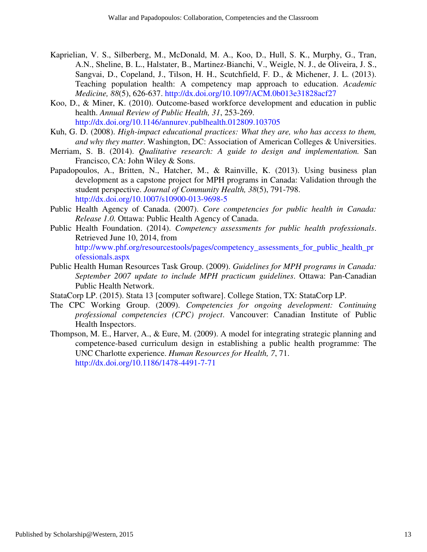- Kaprielian, V. S., Silberberg, M., McDonald, M. A., Koo, D., Hull, S. K., Murphy, G., Tran, A.N., Sheline, B. L., Halstater, B., Martinez-Bianchi, V., Weigle, N. J., de Oliveira, J. S., Sangvai, D., Copeland, J., Tilson, H. H., Scutchfield, F. D., & Michener, J. L. (2013). Teaching population health: A competency map approach to education. *Academic Medicine, 88*(5), 626-637. http://dx.doi.org/10.1097/ACM.0b013e31828acf27
- Koo, D., & Miner, K. (2010). Outcome-based workforce development and education in public health. *Annual Review of Public Health, 31*, 253-269. http://dx.doi.org/10.1146/annurev.publhealth.012809.103705
- Kuh, G. D. (2008). *High-impact educational practices: What they are, who has access to them, and why they matter*. Washington, DC: Association of American Colleges & Universities.
- Merriam, S. B. (2014). *Qualitative research: A guide to design and implementation.* San Francisco, CA: John Wiley & Sons.
- Papadopoulos, A., Britten, N., Hatcher, M., & Rainville, K. (2013). Using business plan development as a capstone project for MPH programs in Canada: Validation through the student perspective. *Journal of Community Health, 38*(5), 791-798. http://dx.doi.org/10.1007/s10900-013-9698-5
- Public Health Agency of Canada. (2007). *Core competencies for public health in Canada: Release 1.0.* Ottawa: Public Health Agency of Canada.
- Public Health Foundation. (2014). *Competency assessments for public health professionals*. Retrieved June 10, 2014, from http://www.phf.org/resourcestools/pages/competency\_assessments\_for\_public\_health\_pr ofessionals.aspx
- Public Health Human Resources Task Group. (2009). *Guidelines for MPH programs in Canada: September 2007 update to include MPH practicum guidelines*. Ottawa: Pan-Canadian Public Health Network.
- StataCorp LP. (2015). Stata 13 [computer software]. College Station, TX: StataCorp LP.
- The CPC Working Group. (2009). *Competencies for ongoing development: Continuing professional competencies (CPC) project*. Vancouver: Canadian Institute of Public Health Inspectors.
- Thompson, M. E., Harver, A., & Eure, M. (2009). A model for integrating strategic planning and competence-based curriculum design in establishing a public health programme: The UNC Charlotte experience. *Human Resources for Health, 7*, 71. http://dx.doi.org/10.1186/1478-4491-7-71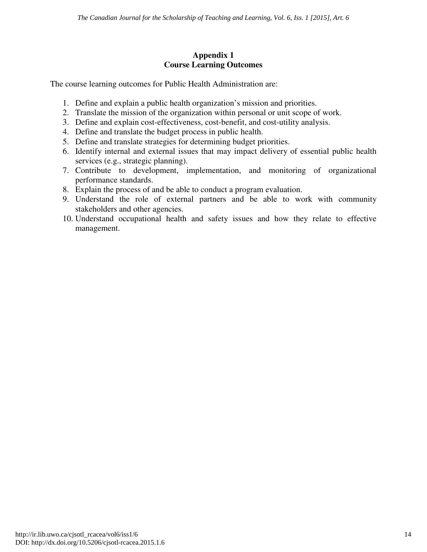#### **Appendix 1 Course Learning Outcomes**

The course learning outcomes for Public Health Administration are:

- 1. Define and explain a public health organization's mission and priorities.
- 2. Translate the mission of the organization within personal or unit scope of work.
- 3. Define and explain cost-effectiveness, cost-benefit, and cost-utility analysis.
- 4. Define and translate the budget process in public health.
- 5. Define and translate strategies for determining budget priorities.
- 6. Identify internal and external issues that may impact delivery of essential public health services (e.g., strategic planning).
- 7. Contribute to development, implementation, and monitoring of organizational performance standards.
- 8. Explain the process of and be able to conduct a program evaluation.
- 9. Understand the role of external partners and be able to work with community stakeholders and other agencies.
- 10. Understand occupational health and safety issues and how they relate to effective management.